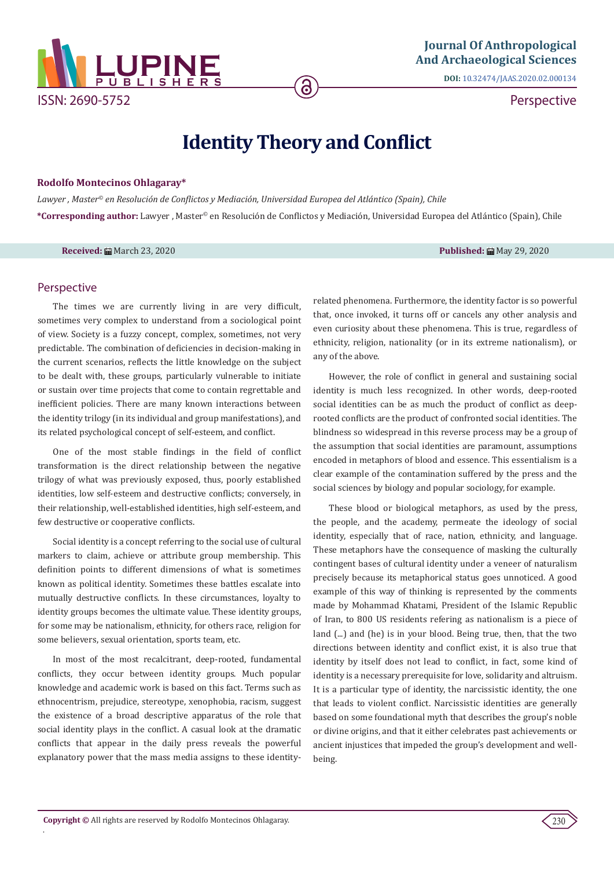

**DOI:** [10.32474/JAAS.2020.02.000134](http://dx.doi.org/10.32474/JAAS.2020.02.000134)

Perspective

## **Identity Theory and Conflict**

ခ

## **Rodolfo Montecinos Ohlagaray\***

*Lawyer , Master© en Resolución de Conflictos y Mediación, Universidad Europea del Atlántico (Spain), Chile* **\*Corresponding author:** Lawyer , Master© en Resolución de Conflictos y Mediación, Universidad Europea del Atlántico (Spain), Chile

**Received:** March 23, 2020 **Published:** May 29, 2020

## Perspective

The times we are currently living in are very difficult, sometimes very complex to understand from a sociological point of view. Society is a fuzzy concept, complex, sometimes, not very predictable. The combination of deficiencies in decision-making in the current scenarios, reflects the little knowledge on the subject to be dealt with, these groups, particularly vulnerable to initiate or sustain over time projects that come to contain regrettable and inefficient policies. There are many known interactions between the identity trilogy (in its individual and group manifestations), and its related psychological concept of self-esteem, and conflict.

One of the most stable findings in the field of conflict transformation is the direct relationship between the negative trilogy of what was previously exposed, thus, poorly established identities, low self-esteem and destructive conflicts; conversely, in their relationship, well-established identities, high self-esteem, and few destructive or cooperative conflicts.

Social identity is a concept referring to the social use of cultural markers to claim, achieve or attribute group membership. This definition points to different dimensions of what is sometimes known as political identity. Sometimes these battles escalate into mutually destructive conflicts. In these circumstances, loyalty to identity groups becomes the ultimate value. These identity groups, for some may be nationalism, ethnicity, for others race, religion for some believers, sexual orientation, sports team, etc.

In most of the most recalcitrant, deep-rooted, fundamental conflicts, they occur between identity groups. Much popular knowledge and academic work is based on this fact. Terms such as ethnocentrism, prejudice, stereotype, xenophobia, racism, suggest the existence of a broad descriptive apparatus of the role that social identity plays in the conflict. A casual look at the dramatic conflicts that appear in the daily press reveals the powerful explanatory power that the mass media assigns to these identityrelated phenomena. Furthermore, the identity factor is so powerful that, once invoked, it turns off or cancels any other analysis and even curiosity about these phenomena. This is true, regardless of ethnicity, religion, nationality (or in its extreme nationalism), or any of the above.

However, the role of conflict in general and sustaining social identity is much less recognized. In other words, deep-rooted social identities can be as much the product of conflict as deeprooted conflicts are the product of confronted social identities. The blindness so widespread in this reverse process may be a group of the assumption that social identities are paramount, assumptions encoded in metaphors of blood and essence. This essentialism is a clear example of the contamination suffered by the press and the social sciences by biology and popular sociology, for example.

These blood or biological metaphors, as used by the press, the people, and the academy, permeate the ideology of social identity, especially that of race, nation, ethnicity, and language. These metaphors have the consequence of masking the culturally contingent bases of cultural identity under a veneer of naturalism precisely because its metaphorical status goes unnoticed. A good example of this way of thinking is represented by the comments made by Mohammad Khatami, President of the Islamic Republic of Iran, to 800 US residents refering as nationalism is a piece of land (...) and (he) is in your blood. Being true, then, that the two directions between identity and conflict exist, it is also true that identity by itself does not lead to conflict, in fact, some kind of identity is a necessary prerequisite for love, solidarity and altruism. It is a particular type of identity, the narcissistic identity, the one that leads to violent conflict. Narcissistic identities are generally based on some foundational myth that describes the group's noble or divine origins, and that it either celebrates past achievements or ancient injustices that impeded the group's development and wellbeing.

.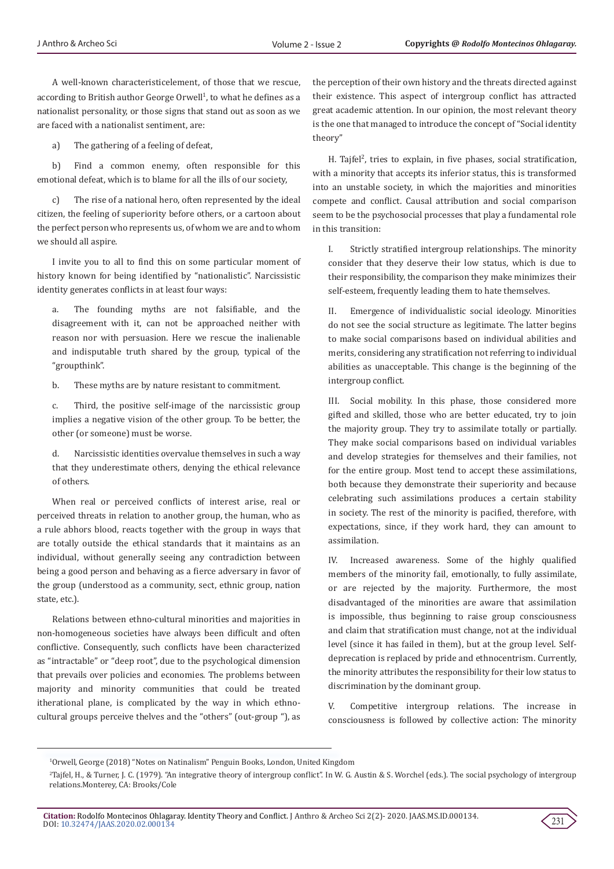A well-known characteristicelement, of those that we rescue, according to British author George Orwell $^1$ , to what he defines as a nationalist personality, or those signs that stand out as soon as we are faced with a nationalist sentiment, are:

a) The gathering of a feeling of defeat,

b) Find a common enemy, often responsible for this emotional defeat, which is to blame for all the ills of our society,

c) The rise of a national hero, often represented by the ideal citizen, the feeling of superiority before others, or a cartoon about the perfect person who represents us, of whom we are and to whom we should all aspire.

I invite you to all to find this on some particular moment of history known for being identified by "nationalistic". Narcissistic identity generates conflicts in at least four ways:

a. The founding myths are not falsifiable, and the disagreement with it, can not be approached neither with reason nor with persuasion. Here we rescue the inalienable and indisputable truth shared by the group, typical of the "groupthink".

b. These myths are by nature resistant to commitment.

c. Third, the positive self-image of the narcissistic group implies a negative vision of the other group. To be better, the other (or someone) must be worse.

d. Narcissistic identities overvalue themselves in such a way that they underestimate others, denying the ethical relevance of others.

When real or perceived conflicts of interest arise, real or perceived threats in relation to another group, the human, who as a rule abhors blood, reacts together with the group in ways that are totally outside the ethical standards that it maintains as an individual, without generally seeing any contradiction between being a good person and behaving as a fierce adversary in favor of the group (understood as a community, sect, ethnic group, nation state, etc.).

Relations between ethno-cultural minorities and majorities in non-homogeneous societies have always been difficult and often conflictive. Consequently, such conflicts have been characterized as "intractable" or "deep root", due to the psychological dimension that prevails over policies and economies. The problems between majority and minority communities that could be treated itherational plane, is complicated by the way in which ethnocultural groups perceive thelves and the "others" (out-group "), as the perception of their own history and the threats directed against their existence. This aspect of intergroup conflict has attracted great academic attention. In our opinion, the most relevant theory is the one that managed to introduce the concept of "Social identity theory"

 $H.$  Tajfel<sup>2</sup>, tries to explain, in five phases, social stratification, with a minority that accepts its inferior status, this is transformed into an unstable society, in which the majorities and minorities compete and conflict. Causal attribution and social comparison seem to be the psychosocial processes that play a fundamental role in this transition:

Strictly stratified intergroup relationships. The minority consider that they deserve their low status, which is due to their responsibility, the comparison they make minimizes their self-esteem, frequently leading them to hate themselves.

II. Emergence of individualistic social ideology. Minorities do not see the social structure as legitimate. The latter begins to make social comparisons based on individual abilities and merits, considering any stratification not referring to individual abilities as unacceptable. This change is the beginning of the intergroup conflict.

III. Social mobility. In this phase, those considered more gifted and skilled, those who are better educated, try to join the majority group. They try to assimilate totally or partially. They make social comparisons based on individual variables and develop strategies for themselves and their families, not for the entire group. Most tend to accept these assimilations, both because they demonstrate their superiority and because celebrating such assimilations produces a certain stability in society. The rest of the minority is pacified, therefore, with expectations, since, if they work hard, they can amount to assimilation.

IV. Increased awareness. Some of the highly qualified members of the minority fail, emotionally, to fully assimilate, or are rejected by the majority. Furthermore, the most disadvantaged of the minorities are aware that assimilation is impossible, thus beginning to raise group consciousness and claim that stratification must change, not at the individual level (since it has failed in them), but at the group level. Selfdeprecation is replaced by pride and ethnocentrism. Currently, the minority attributes the responsibility for their low status to discrimination by the dominant group.

V. Competitive intergroup relations. The increase in consciousness is followed by collective action: The minority



<sup>1</sup> Orwell, George (2018) "Notes on Natinalism" Penguin Books, London, United Kingdom

<sup>2</sup> Tajfel, H., & Turner, J. C. (1979). "An integrative theory of intergroup conflict". In W. G. Austin & S. Worchel (eds.). The social psychology of intergroup relations.Monterey, CA: Brooks/Cole